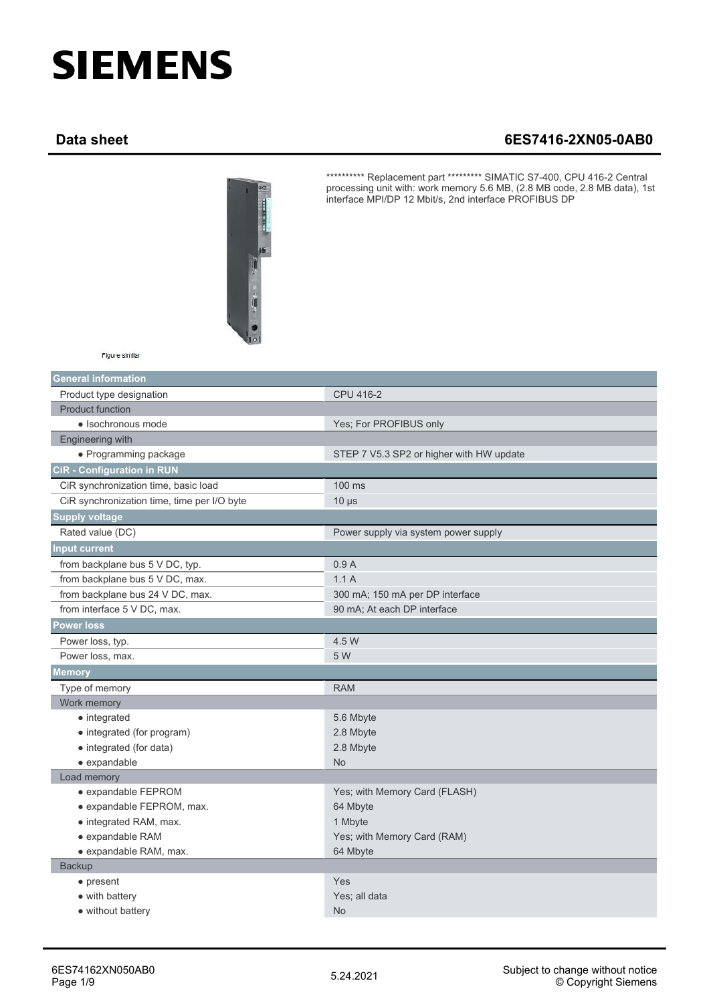## **SIEMENS**

## **Data sheet 6ES7416-2XN05-0AB0**



\*\*\*\*\*\*\*\*\*\* Replacement part \*\*\*\*\*\*\*\*\* SIMATIC S7-400, CPU 416-2 Central processing unit with: work memory 5.6 MB, (2.8 MB code, 2.8 MB data), 1st interface MPI/DP 12 Mbit/s, 2nd interface PROFIBUS DP

| Figure similar |  |
|----------------|--|
|----------------|--|

| <b>General information</b>                  |                                          |
|---------------------------------------------|------------------------------------------|
| Product type designation                    | CPU 416-2                                |
| <b>Product function</b>                     |                                          |
| · Isochronous mode                          | Yes; For PROFIBUS only                   |
| Engineering with                            |                                          |
| • Programming package                       | STEP 7 V5.3 SP2 or higher with HW update |
| <b>CiR</b> - Configuration in RUN           |                                          |
| CiR synchronization time, basic load        | 100 ms                                   |
| CiR synchronization time, time per I/O byte | $10 \mu s$                               |
| <b>Supply voltage</b>                       |                                          |
| Rated value (DC)                            | Power supply via system power supply     |
| <b>Input current</b>                        |                                          |
| from backplane bus 5 V DC, typ.             | 0.9A                                     |
| from backplane bus 5 V DC, max.             | 1.1A                                     |
| from backplane bus 24 V DC, max.            | 300 mA; 150 mA per DP interface          |
| from interface 5 V DC, max.                 | 90 mA; At each DP interface              |
| <b>Power loss</b>                           |                                          |
| Power loss, typ.                            | 4.5 W                                    |
| Power loss, max.                            | 5 W                                      |
| <b>Memory</b>                               |                                          |
| Type of memory                              | <b>RAM</b>                               |
| Work memory                                 |                                          |
| • integrated                                | 5.6 Mbyte                                |
| • integrated (for program)                  | 2.8 Mbyte                                |
| • integrated (for data)                     | 2.8 Mbyte                                |
| · expandable                                | <b>No</b>                                |
| Load memory                                 |                                          |
| • expandable FEPROM                         | Yes; with Memory Card (FLASH)            |
| · expandable FEPROM, max.                   | 64 Mbyte                                 |
| • integrated RAM, max.                      | 1 Mbyte                                  |
| • expandable RAM                            | Yes; with Memory Card (RAM)              |
| • expandable RAM, max.                      | 64 Mbyte                                 |
| <b>Backup</b>                               |                                          |
| $\bullet$ present                           | Yes                                      |
| • with battery                              | Yes; all data                            |
| • without battery                           | <b>No</b>                                |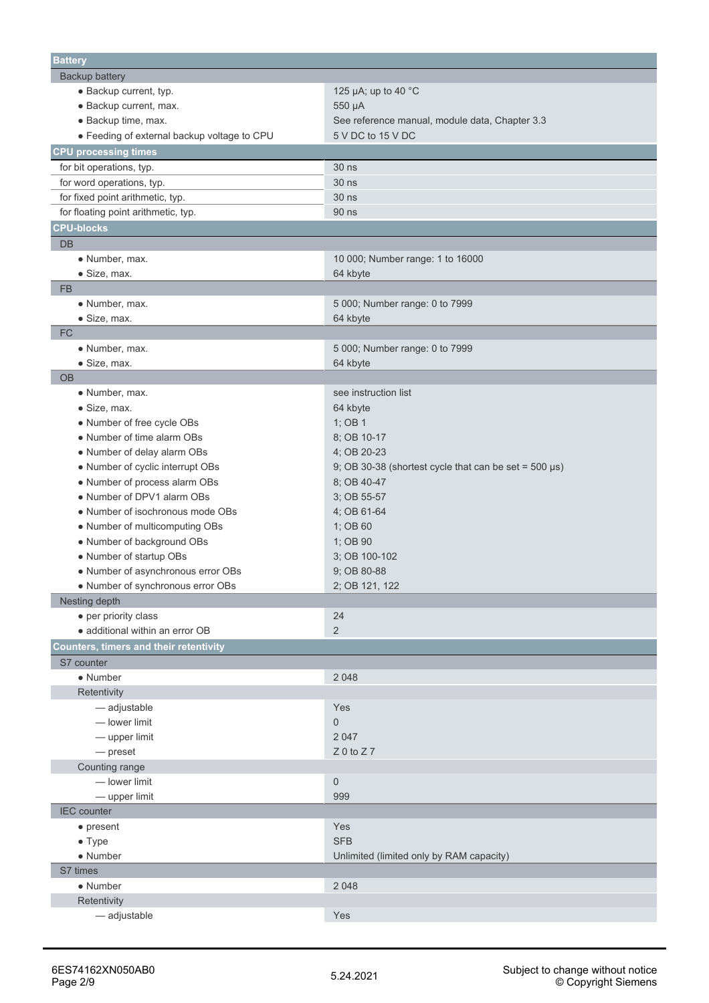| <b>Battery</b>                                |                                                             |
|-----------------------------------------------|-------------------------------------------------------------|
| Backup battery                                |                                                             |
| · Backup current, typ.                        | 125 µA; up to 40 $^{\circ}$ C                               |
| · Backup current, max.                        | 550 µA                                                      |
| · Backup time, max.                           | See reference manual, module data, Chapter 3.3              |
| • Feeding of external backup voltage to CPU   | 5 V DC to 15 V DC                                           |
| <b>CPU processing times</b>                   |                                                             |
| for bit operations, typ.                      | 30 ns                                                       |
| for word operations, typ.                     | 30 ns                                                       |
| for fixed point arithmetic, typ.              | 30 ns                                                       |
| for floating point arithmetic, typ.           | 90 ns                                                       |
| <b>CPU-blocks</b>                             |                                                             |
| <b>DB</b>                                     |                                                             |
| • Number, max.                                | 10 000; Number range: 1 to 16000                            |
| • Size, max.                                  | 64 kbyte                                                    |
| <b>FB</b>                                     |                                                             |
| • Number, max.                                | 5 000; Number range: 0 to 7999                              |
| • Size, max.                                  | 64 kbyte                                                    |
| <b>FC</b>                                     |                                                             |
| • Number, max.                                | 5 000; Number range: 0 to 7999                              |
| • Size, max.                                  | 64 kbyte                                                    |
| <b>OB</b>                                     |                                                             |
| · Number, max.                                | see instruction list                                        |
| $\bullet$ Size, max.                          | 64 kbyte                                                    |
| • Number of free cycle OBs                    | 1; OB 1                                                     |
| • Number of time alarm OBs                    | 8; OB 10-17                                                 |
| • Number of delay alarm OBs                   | 4; OB 20-23                                                 |
| • Number of cyclic interrupt OBs              | 9; OB 30-38 (shortest cycle that can be set = $500 \mu s$ ) |
| • Number of process alarm OBs                 | 8; OB 40-47                                                 |
| • Number of DPV1 alarm OBs                    | 3; OB 55-57                                                 |
| • Number of isochronous mode OBs              | 4; OB 61-64                                                 |
| • Number of multicomputing OBs                | 1; OB 60                                                    |
| • Number of background OBs                    | 1; OB 90                                                    |
| • Number of startup OBs                       | 3; OB 100-102                                               |
| • Number of asynchronous error OBs            | 9; OB 80-88                                                 |
| • Number of synchronous error OBs             | 2; OB 121, 122                                              |
| Nesting depth                                 |                                                             |
| • per priority class                          | 24                                                          |
| • additional within an error OB               | $\overline{2}$                                              |
| <b>Counters, timers and their retentivity</b> |                                                             |
| S7 counter                                    |                                                             |
| • Number                                      | 2 0 4 8                                                     |
| Retentivity                                   |                                                             |
| - adjustable                                  | Yes                                                         |
| - lower limit                                 | 0                                                           |
| - upper limit                                 | 2 0 4 7                                                     |
| $-$ preset                                    | $Z$ 0 to $Z$ 7                                              |
| Counting range                                |                                                             |
| - lower limit                                 | $\mathbf 0$                                                 |
| - upper limit                                 | 999                                                         |
| <b>IEC</b> counter                            |                                                             |
| $\bullet$ present                             | Yes                                                         |
| $\bullet$ Type                                | <b>SFB</b>                                                  |
| • Number                                      | Unlimited (limited only by RAM capacity)                    |
| S7 times                                      |                                                             |
| • Number                                      | 2 0 4 8                                                     |
| Retentivity                                   |                                                             |
| - adjustable                                  | Yes                                                         |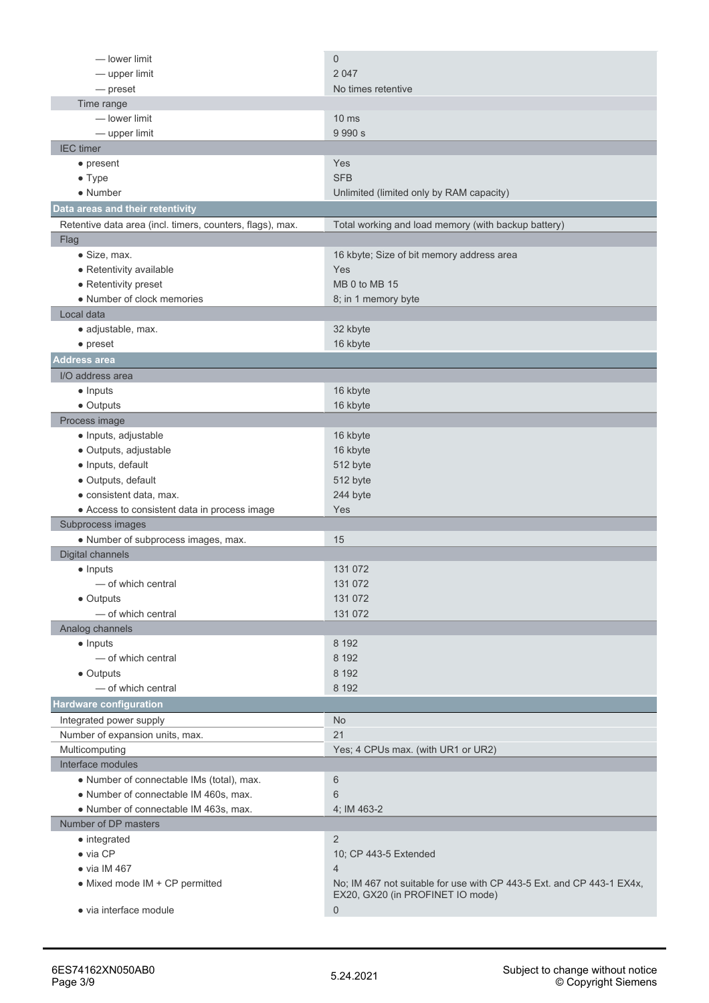| - lower limit                                             | $\mathbf 0$                                                                                               |
|-----------------------------------------------------------|-----------------------------------------------------------------------------------------------------------|
| - upper limit                                             | 2 0 4 7                                                                                                   |
| — preset                                                  | No times retentive                                                                                        |
| Time range                                                |                                                                                                           |
| - lower limit                                             | 10 <sub>ms</sub>                                                                                          |
| $-$ upper limit                                           | 9 9 9 0 s                                                                                                 |
| <b>IEC</b> timer                                          |                                                                                                           |
| $\bullet$ present                                         | Yes                                                                                                       |
| $\bullet$ Type                                            | <b>SFB</b>                                                                                                |
| • Number                                                  | Unlimited (limited only by RAM capacity)                                                                  |
| Data areas and their retentivity                          |                                                                                                           |
| Retentive data area (incl. timers, counters, flags), max. | Total working and load memory (with backup battery)                                                       |
| Flag                                                      |                                                                                                           |
| $\bullet$ Size, max.                                      | 16 kbyte; Size of bit memory address area                                                                 |
| • Retentivity available                                   | Yes                                                                                                       |
| • Retentivity preset                                      | MB 0 to MB 15                                                                                             |
| • Number of clock memories                                | 8; in 1 memory byte                                                                                       |
| Local data                                                |                                                                                                           |
| • adjustable, max.                                        | 32 kbyte                                                                                                  |
| $\bullet$ preset                                          | 16 kbyte                                                                                                  |
| <b>Address area</b>                                       |                                                                                                           |
| I/O address area                                          |                                                                                                           |
| $\bullet$ Inputs                                          | 16 kbyte                                                                                                  |
| • Outputs                                                 | 16 kbyte                                                                                                  |
| Process image                                             |                                                                                                           |
| · Inputs, adjustable                                      | 16 kbyte                                                                                                  |
| · Outputs, adjustable                                     | 16 kbyte                                                                                                  |
| · Inputs, default                                         | 512 byte                                                                                                  |
| · Outputs, default                                        | 512 byte                                                                                                  |
| · consistent data, max.                                   | 244 byte                                                                                                  |
| • Access to consistent data in process image              | Yes                                                                                                       |
| Subprocess images                                         |                                                                                                           |
| • Number of subprocess images, max.                       | 15                                                                                                        |
| Digital channels                                          |                                                                                                           |
| $\bullet$ Inputs                                          | 131 072                                                                                                   |
| $-$ of which central                                      | 131 072                                                                                                   |
| • Outputs                                                 | 131 072                                                                                                   |
| - of which central                                        | 131 072                                                                                                   |
| Analog channels                                           |                                                                                                           |
| $\bullet$ Inputs                                          | 8 1 9 2                                                                                                   |
| - of which central                                        | 8 1 9 2                                                                                                   |
| • Outputs                                                 | 8 1 9 2                                                                                                   |
| - of which central                                        | 8 1 9 2                                                                                                   |
| <b>Hardware configuration</b>                             |                                                                                                           |
| Integrated power supply                                   | <b>No</b>                                                                                                 |
| Number of expansion units, max.                           | 21                                                                                                        |
| Multicomputing                                            | Yes; 4 CPUs max. (with UR1 or UR2)                                                                        |
| Interface modules                                         |                                                                                                           |
| • Number of connectable IMs (total), max.                 | 6                                                                                                         |
| • Number of connectable IM 460s, max.                     | 6                                                                                                         |
| • Number of connectable IM 463s, max.                     | 4; IM 463-2                                                                                               |
| Number of DP masters                                      |                                                                                                           |
|                                                           | $\overline{2}$                                                                                            |
| • integrated<br>$\bullet$ via CP                          | 10; CP 443-5 Extended                                                                                     |
| $\bullet$ via IM 467                                      | $\overline{4}$                                                                                            |
|                                                           |                                                                                                           |
| • Mixed mode IM + CP permitted                            | No; IM 467 not suitable for use with CP 443-5 Ext. and CP 443-1 EX4x,<br>EX20, GX20 (in PROFINET IO mode) |
| · via interface module                                    | 0                                                                                                         |
|                                                           |                                                                                                           |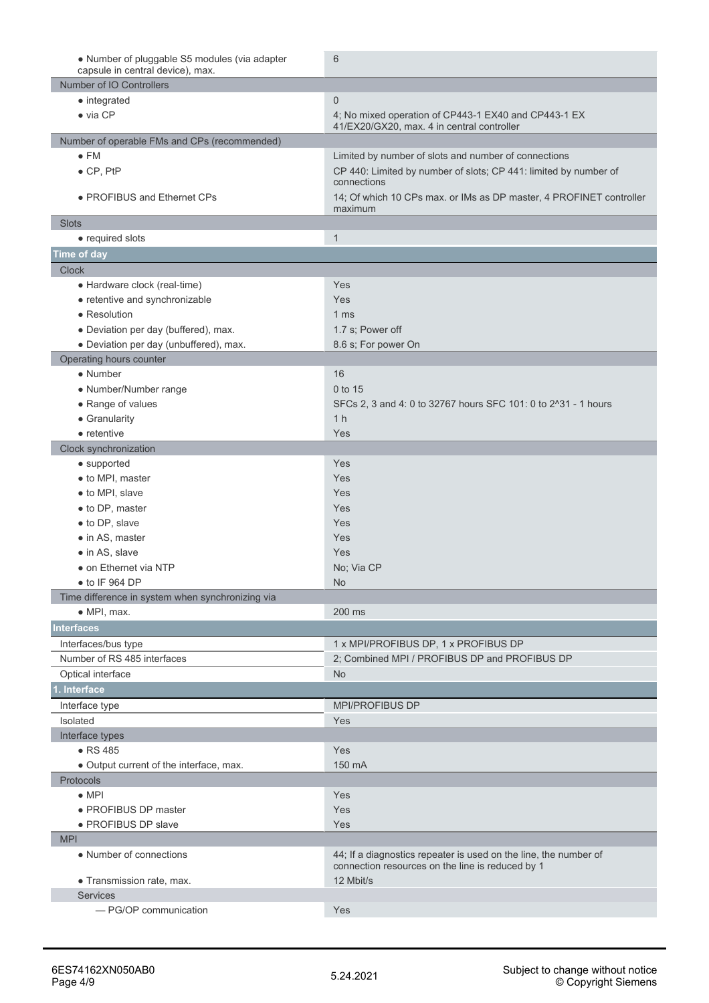| • Number of pluggable S5 modules (via adapter<br>capsule in central device), max. | 6                                                                                                  |
|-----------------------------------------------------------------------------------|----------------------------------------------------------------------------------------------------|
| Number of IO Controllers                                                          |                                                                                                    |
| • integrated                                                                      | $\mathbf{0}$                                                                                       |
| $\bullet$ via CP                                                                  | 4; No mixed operation of CP443-1 EX40 and CP443-1 EX<br>41/EX20/GX20, max. 4 in central controller |
| Number of operable FMs and CPs (recommended)                                      |                                                                                                    |
| $\bullet$ FM                                                                      | Limited by number of slots and number of connections                                               |
| $\bullet$ CP, PtP                                                                 | CP 440: Limited by number of slots; CP 441: limited by number of                                   |
|                                                                                   | connections                                                                                        |
| • PROFIBUS and Ethernet CPs                                                       | 14; Of which 10 CPs max. or IMs as DP master, 4 PROFINET controller<br>maximum                     |
| <b>Slots</b>                                                                      |                                                                                                    |
| • required slots                                                                  | $\mathbf{1}$                                                                                       |
| Time of day                                                                       |                                                                                                    |
| <b>Clock</b>                                                                      |                                                                                                    |
| • Hardware clock (real-time)                                                      | Yes                                                                                                |
| • retentive and synchronizable                                                    | Yes                                                                                                |
| • Resolution                                                                      | 1 ms                                                                                               |
| • Deviation per day (buffered), max.                                              | 1.7 s; Power off                                                                                   |
| · Deviation per day (unbuffered), max.                                            | 8.6 s; For power On                                                                                |
| Operating hours counter                                                           |                                                                                                    |
| $\bullet$ Number                                                                  | 16                                                                                                 |
| • Number/Number range                                                             | 0 to 15                                                                                            |
| • Range of values                                                                 | SFCs 2, 3 and 4: 0 to 32767 hours SFC 101: 0 to 2^31 - 1 hours                                     |
| • Granularity                                                                     | 1 <sub>h</sub>                                                                                     |
| $\bullet$ retentive                                                               | Yes                                                                                                |
| Clock synchronization                                                             |                                                                                                    |
| • supported                                                                       | Yes                                                                                                |
| • to MPI, master                                                                  | Yes                                                                                                |
| • to MPI, slave                                                                   | Yes                                                                                                |
| • to DP, master                                                                   | Yes                                                                                                |
| • to DP, slave                                                                    | Yes                                                                                                |
| • in AS, master                                                                   | Yes                                                                                                |
| $\bullet$ in AS, slave                                                            | Yes                                                                                                |
| • on Ethernet via NTP                                                             | No; Via CP                                                                                         |
| $\bullet$ to IF 964 DP                                                            | No                                                                                                 |
| Time difference in system when synchronizing via                                  |                                                                                                    |
| $\bullet$ MPI, max.                                                               | 200 ms                                                                                             |
| <b>Interfaces</b>                                                                 |                                                                                                    |
| Interfaces/bus type                                                               | 1 x MPI/PROFIBUS DP, 1 x PROFIBUS DP                                                               |
| Number of RS 485 interfaces                                                       | 2; Combined MPI / PROFIBUS DP and PROFIBUS DP                                                      |
| Optical interface                                                                 | <b>No</b>                                                                                          |
| . Interface                                                                       |                                                                                                    |
| Interface type                                                                    | <b>MPI/PROFIBUS DP</b>                                                                             |
| Isolated                                                                          | Yes                                                                                                |
| Interface types                                                                   |                                                                                                    |
| $\bullet$ RS 485                                                                  | Yes                                                                                                |
| • Output current of the interface, max.                                           | 150 mA                                                                                             |
| <b>Protocols</b>                                                                  |                                                                                                    |
| $\bullet$ MPI                                                                     | Yes                                                                                                |
| • PROFIBUS DP master                                                              | Yes                                                                                                |
| · PROFIBUS DP slave                                                               | Yes                                                                                                |
| <b>MPI</b>                                                                        |                                                                                                    |
| • Number of connections                                                           | 44; If a diagnostics repeater is used on the line, the number of                                   |
|                                                                                   | connection resources on the line is reduced by 1                                                   |
| • Transmission rate, max.                                                         | 12 Mbit/s                                                                                          |
| <b>Services</b>                                                                   |                                                                                                    |
| - PG/OP communication                                                             | Yes                                                                                                |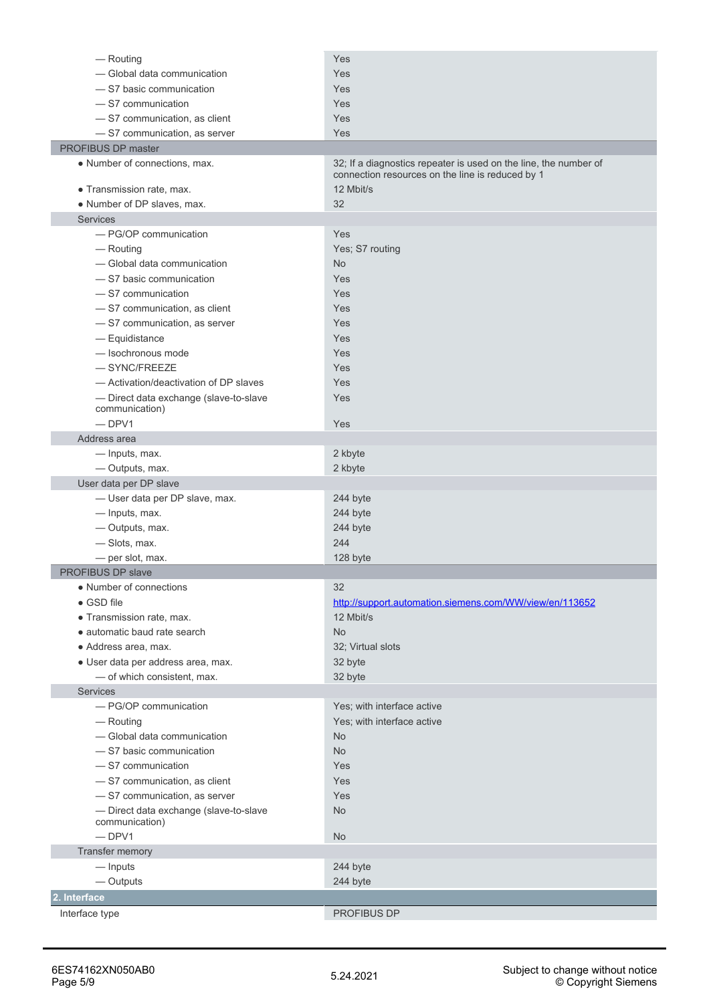| $-$ Routing                                              | Yes                                                                                                                  |
|----------------------------------------------------------|----------------------------------------------------------------------------------------------------------------------|
| - Global data communication                              | Yes                                                                                                                  |
| -S7 basic communication                                  | Yes                                                                                                                  |
| -S7 communication                                        | Yes                                                                                                                  |
| -S7 communication, as client                             | Yes                                                                                                                  |
| -S7 communication, as server                             | Yes                                                                                                                  |
| PROFIBUS DP master                                       |                                                                                                                      |
| • Number of connections, max.                            | 32; If a diagnostics repeater is used on the line, the number of<br>connection resources on the line is reduced by 1 |
| · Transmission rate, max.                                | 12 Mbit/s                                                                                                            |
| • Number of DP slaves, max.                              | 32                                                                                                                   |
| <b>Services</b>                                          |                                                                                                                      |
| - PG/OP communication                                    | Yes                                                                                                                  |
| — Routing                                                | Yes; S7 routing                                                                                                      |
| - Global data communication                              | No                                                                                                                   |
| -S7 basic communication                                  | Yes                                                                                                                  |
| -S7 communication                                        | Yes                                                                                                                  |
| -S7 communication, as client                             | Yes                                                                                                                  |
| -S7 communication, as server                             | Yes                                                                                                                  |
| - Equidistance                                           | Yes                                                                                                                  |
| - Isochronous mode                                       | Yes                                                                                                                  |
| $-$ SYNC/FREEZE                                          | Yes                                                                                                                  |
| - Activation/deactivation of DP slaves                   | Yes                                                                                                                  |
| - Direct data exchange (slave-to-slave<br>communication) | Yes                                                                                                                  |
| $-$ DPV1                                                 | Yes                                                                                                                  |
| Address area                                             |                                                                                                                      |
| — Inputs, max.                                           | 2 kbyte                                                                                                              |
| - Outputs, max.                                          | 2 kbyte                                                                                                              |
| User data per DP slave                                   |                                                                                                                      |
|                                                          |                                                                                                                      |
| - User data per DP slave, max.                           | 244 byte                                                                                                             |
| - Inputs, max.                                           | 244 byte                                                                                                             |
| - Outputs, max.                                          | 244 byte                                                                                                             |
| -Slots, max.                                             | 244                                                                                                                  |
| - per slot, max.                                         | 128 byte                                                                                                             |
| PROFIBUS DP slave                                        |                                                                                                                      |
| • Number of connections                                  | 32                                                                                                                   |
| • GSD file                                               | http://support.automation.siemens.com/WW/view/en/113652                                                              |
| · Transmission rate, max.                                | 12 Mbit/s                                                                                                            |
| • automatic baud rate search                             | <b>No</b>                                                                                                            |
| · Address area, max.                                     | 32; Virtual slots                                                                                                    |
| · User data per address area, max.                       | 32 byte                                                                                                              |
| - of which consistent, max.                              | 32 byte                                                                                                              |
| Services                                                 |                                                                                                                      |
| - PG/OP communication                                    | Yes; with interface active                                                                                           |
| — Routing                                                | Yes; with interface active                                                                                           |
| - Global data communication                              | No                                                                                                                   |
| -S7 basic communication                                  | <b>No</b>                                                                                                            |
| -S7 communication                                        | Yes                                                                                                                  |
| -S7 communication, as client                             | Yes                                                                                                                  |
| - S7 communication, as server                            | Yes                                                                                                                  |
| - Direct data exchange (slave-to-slave<br>communication) | No                                                                                                                   |
| $-$ DPV1                                                 | No                                                                                                                   |
| Transfer memory                                          |                                                                                                                      |
| — Inputs                                                 | 244 byte                                                                                                             |
| — Outputs                                                | 244 byte                                                                                                             |
| 2. Interface                                             |                                                                                                                      |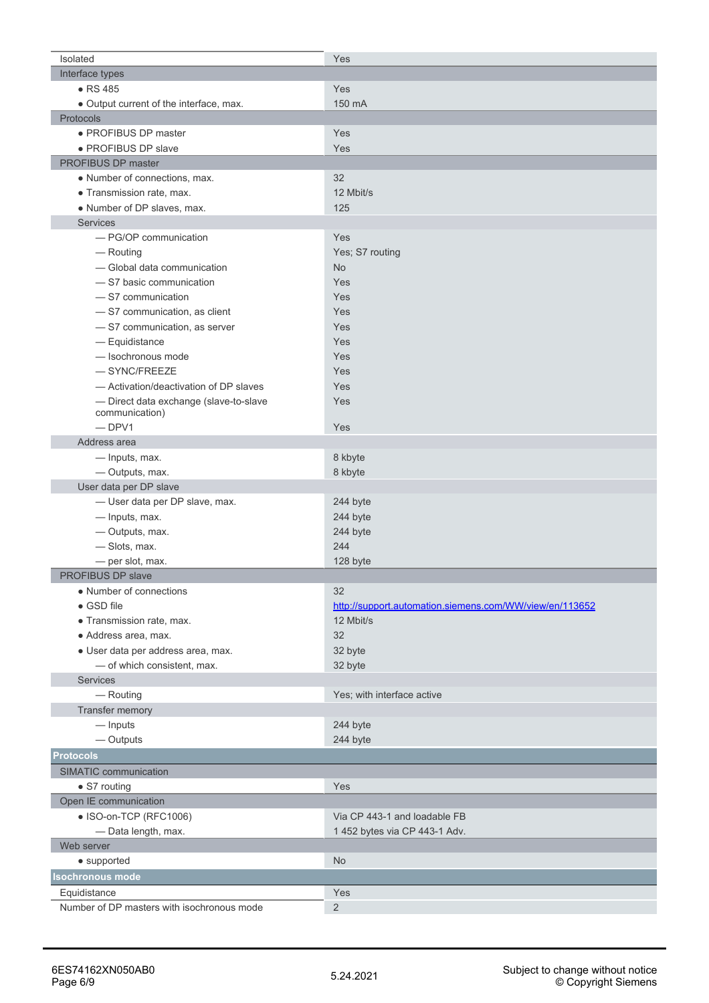| Isolated                                   | Yes                                                     |
|--------------------------------------------|---------------------------------------------------------|
| Interface types                            |                                                         |
| • RS 485                                   | Yes                                                     |
| • Output current of the interface, max.    | 150 mA                                                  |
| Protocols                                  |                                                         |
| · PROFIBUS DP master                       | Yes                                                     |
| • PROFIBUS DP slave                        | Yes                                                     |
| PROFIBUS DP master                         |                                                         |
| • Number of connections, max.              | 32                                                      |
| · Transmission rate, max.                  | 12 Mbit/s                                               |
| • Number of DP slaves, max.                | 125                                                     |
| <b>Services</b>                            |                                                         |
| - PG/OP communication                      | Yes                                                     |
|                                            |                                                         |
| - Routing                                  | Yes; S7 routing                                         |
| - Global data communication                | <b>No</b>                                               |
| -S7 basic communication                    | Yes                                                     |
| -S7 communication                          | Yes                                                     |
| - S7 communication, as client              | Yes                                                     |
| - S7 communication, as server              | Yes                                                     |
| - Equidistance                             | Yes                                                     |
| - Isochronous mode                         | Yes                                                     |
| $-$ SYNC/FREEZE                            | Yes                                                     |
| - Activation/deactivation of DP slaves     | Yes                                                     |
| - Direct data exchange (slave-to-slave     | Yes                                                     |
| communication)                             |                                                         |
| $-DPV1$                                    | Yes                                                     |
| Address area                               |                                                         |
| - Inputs, max.                             | 8 kbyte                                                 |
| - Outputs, max.                            | 8 kbyte                                                 |
| User data per DP slave                     |                                                         |
| - User data per DP slave, max.             | 244 byte                                                |
| - Inputs, max.                             | 244 byte                                                |
| - Outputs, max.                            | 244 byte                                                |
| -Slots, max.                               | 244                                                     |
| - per slot, max.                           | 128 byte                                                |
| PROFIBUS DP slave                          |                                                         |
| • Number of connections                    | 32                                                      |
| • GSD file                                 | http://support.automation.siemens.com/WW/view/en/113652 |
| · Transmission rate, max.                  | 12 Mbit/s                                               |
| · Address area, max.                       | 32                                                      |
| · User data per address area, max.         | 32 byte                                                 |
| - of which consistent, max.                | 32 byte                                                 |
| <b>Services</b>                            |                                                         |
| - Routing                                  | Yes; with interface active                              |
| Transfer memory                            |                                                         |
| $-$ Inputs                                 | 244 byte                                                |
| — Outputs                                  | 244 byte                                                |
| <b>Protocols</b>                           |                                                         |
| SIMATIC communication                      |                                                         |
| • S7 routing                               | Yes                                                     |
| Open IE communication                      |                                                         |
| • ISO-on-TCP (RFC1006)                     | Via CP 443-1 and loadable FB                            |
| - Data length, max.                        | 1 452 bytes via CP 443-1 Adv.                           |
| Web server                                 |                                                         |
| • supported                                | <b>No</b>                                               |
|                                            |                                                         |
| <b>Isochronous mode</b>                    |                                                         |
| Equidistance                               | Yes                                                     |
| Number of DP masters with isochronous mode | $\overline{2}$                                          |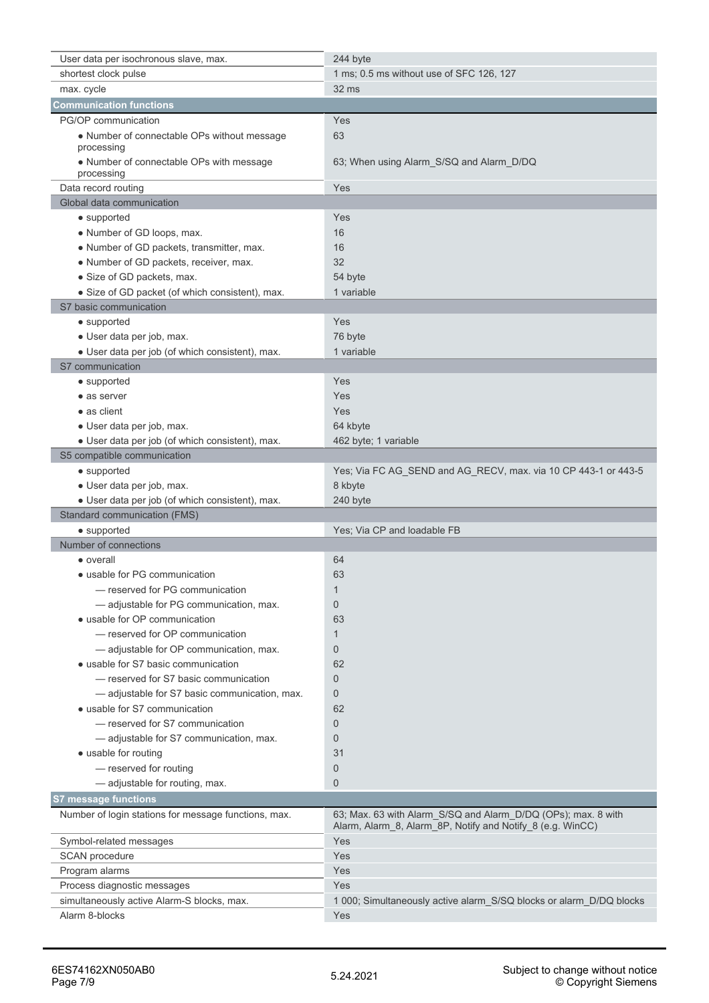| User data per isochronous slave, max.                                          | 244 byte                                                                                                                    |
|--------------------------------------------------------------------------------|-----------------------------------------------------------------------------------------------------------------------------|
| shortest clock pulse                                                           | 1 ms; 0.5 ms without use of SFC 126, 127                                                                                    |
| max. cycle                                                                     | 32 ms                                                                                                                       |
| <b>Communication functions</b>                                                 |                                                                                                                             |
| PG/OP communication                                                            | Yes                                                                                                                         |
| • Number of connectable OPs without message<br>processing                      | 63                                                                                                                          |
| • Number of connectable OPs with message<br>processing                         | 63; When using Alarm_S/SQ and Alarm_D/DQ                                                                                    |
| Data record routing                                                            | Yes                                                                                                                         |
| Global data communication                                                      |                                                                                                                             |
| $\bullet$ supported                                                            | Yes                                                                                                                         |
| • Number of GD loops, max.                                                     | 16                                                                                                                          |
| • Number of GD packets, transmitter, max.                                      | 16                                                                                                                          |
| • Number of GD packets, receiver, max.                                         | 32                                                                                                                          |
| • Size of GD packets, max.                                                     | 54 byte                                                                                                                     |
| • Size of GD packet (of which consistent), max.                                | 1 variable                                                                                                                  |
| S7 basic communication                                                         |                                                                                                                             |
| • supported                                                                    | Yes                                                                                                                         |
| · User data per job, max.                                                      | 76 byte                                                                                                                     |
| · User data per job (of which consistent), max.                                | 1 variable                                                                                                                  |
| S7 communication                                                               |                                                                                                                             |
| $\bullet$ supported                                                            | Yes                                                                                                                         |
| • as server                                                                    | Yes                                                                                                                         |
| • as client                                                                    | Yes                                                                                                                         |
|                                                                                | 64 kbyte                                                                                                                    |
| · User data per job, max.                                                      |                                                                                                                             |
| • User data per job (of which consistent), max.<br>S5 compatible communication | 462 byte; 1 variable                                                                                                        |
|                                                                                |                                                                                                                             |
| $\bullet$ supported                                                            | Yes; Via FC AG_SEND and AG_RECV, max. via 10 CP 443-1 or 443-5                                                              |
| · User data per job, max.                                                      | 8 kbyte                                                                                                                     |
|                                                                                |                                                                                                                             |
| • User data per job (of which consistent), max.                                | 240 byte                                                                                                                    |
| Standard communication (FMS)                                                   |                                                                                                                             |
| $\bullet$ supported                                                            | Yes; Via CP and loadable FB                                                                                                 |
| Number of connections                                                          |                                                                                                                             |
| • overall                                                                      | 64                                                                                                                          |
| • usable for PG communication                                                  | 63                                                                                                                          |
| - reserved for PG communication                                                | 1                                                                                                                           |
| - adjustable for PG communication, max.                                        | $\mathbf{0}$                                                                                                                |
| • usable for OP communication                                                  | 63                                                                                                                          |
| - reserved for OP communication                                                | $\mathbf{1}$                                                                                                                |
| - adjustable for OP communication, max.                                        | $\mathbf{0}$                                                                                                                |
| • usable for S7 basic communication                                            | 62                                                                                                                          |
| - reserved for S7 basic communication                                          | $\mathbf{0}$                                                                                                                |
| - adjustable for S7 basic communication, max.                                  | $\mathbf 0$                                                                                                                 |
| • usable for S7 communication                                                  | 62                                                                                                                          |
| - reserved for S7 communication                                                | $\mathbf{0}$                                                                                                                |
| -adjustable for S7 communication, max.                                         | $\overline{0}$                                                                                                              |
| • usable for routing                                                           | 31                                                                                                                          |
| - reserved for routing                                                         | $\mathbf{0}$                                                                                                                |
| - adjustable for routing, max.                                                 | $\overline{0}$                                                                                                              |
| S7 message functions                                                           |                                                                                                                             |
| Number of login stations for message functions, max.                           | 63; Max. 63 with Alarm_S/SQ and Alarm_D/DQ (OPs); max. 8 with<br>Alarm, Alarm_8, Alarm_8P, Notify and Notify_8 (e.g. WinCC) |
| Symbol-related messages                                                        | Yes                                                                                                                         |
| SCAN procedure                                                                 | Yes                                                                                                                         |
| Program alarms                                                                 | Yes                                                                                                                         |
| Process diagnostic messages                                                    | Yes                                                                                                                         |
| simultaneously active Alarm-S blocks, max.                                     | 1 000; Simultaneously active alarm_S/SQ blocks or alarm_D/DQ blocks                                                         |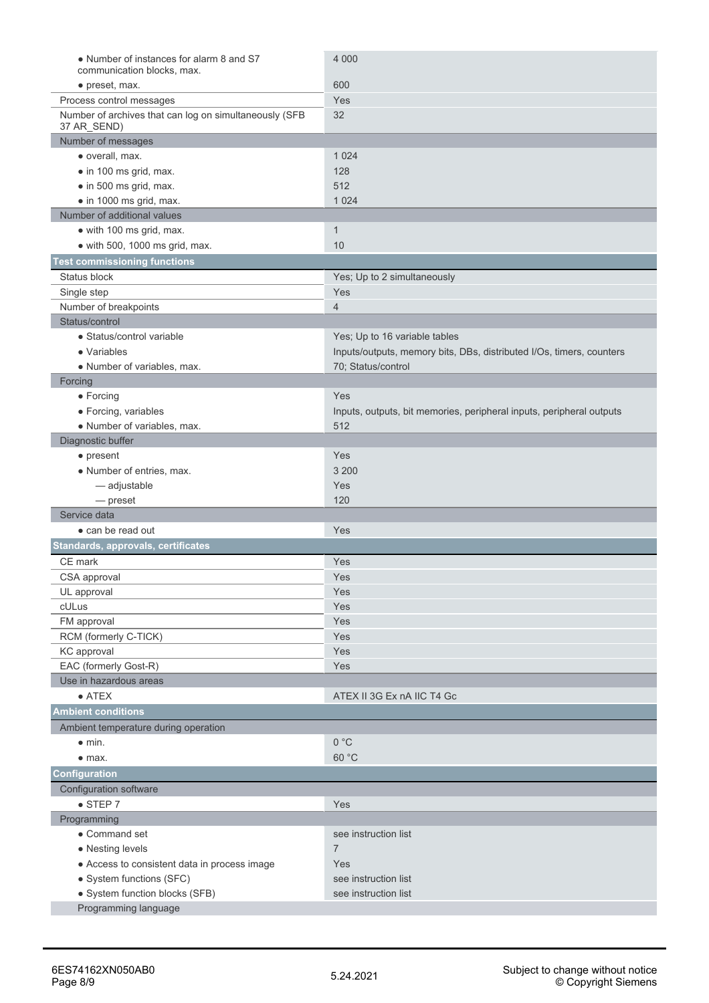| • Number of instances for alarm 8 and S7                              | 4 0 0 0                                                              |
|-----------------------------------------------------------------------|----------------------------------------------------------------------|
| communication blocks, max.                                            |                                                                      |
| • preset, max.                                                        | 600                                                                  |
| Process control messages                                              | Yes                                                                  |
| Number of archives that can log on simultaneously (SFB<br>37 AR_SEND) | 32                                                                   |
| Number of messages                                                    |                                                                      |
| · overall, max.                                                       | 1 0 24                                                               |
| • in 100 ms grid, max.                                                | 128                                                                  |
| • in 500 ms grid, max.                                                | 512                                                                  |
| • in 1000 ms grid, max.                                               | 1 0 2 4                                                              |
| Number of additional values                                           |                                                                      |
| • with 100 ms grid, max.                                              | $\mathbf{1}$                                                         |
| $\bullet$ with 500, 1000 ms grid, max.                                | 10                                                                   |
| <b>Test commissioning functions</b>                                   |                                                                      |
| Status block                                                          | Yes; Up to 2 simultaneously                                          |
| Single step                                                           | Yes                                                                  |
| Number of breakpoints                                                 | $\overline{4}$                                                       |
| Status/control                                                        |                                                                      |
| • Status/control variable                                             |                                                                      |
|                                                                       | Yes; Up to 16 variable tables                                        |
| • Variables                                                           | Inputs/outputs, memory bits, DBs, distributed I/Os, timers, counters |
| • Number of variables, max.                                           | 70; Status/control                                                   |
| Forcing                                                               |                                                                      |
| $\bullet$ Forcing                                                     | Yes                                                                  |
| • Forcing, variables                                                  | Inputs, outputs, bit memories, peripheral inputs, peripheral outputs |
| • Number of variables, max.                                           | 512                                                                  |
| Diagnostic buffer                                                     |                                                                      |
| • present                                                             | Yes                                                                  |
| • Number of entries, max.                                             | 3 200                                                                |
| - adjustable                                                          | Yes                                                                  |
| — preset                                                              | 120                                                                  |
| Service data                                                          |                                                                      |
| • can be read out                                                     | Yes                                                                  |
| Standards, approvals, certificates                                    |                                                                      |
| CE mark                                                               | Yes                                                                  |
| CSA approval                                                          | Yes                                                                  |
| UL approval                                                           | Yes                                                                  |
| cULus                                                                 | Yes                                                                  |
| FM approval                                                           | Yes                                                                  |
| RCM (formerly C-TICK)                                                 | Yes                                                                  |
| KC approval                                                           | Yes                                                                  |
| EAC (formerly Gost-R)                                                 | Yes                                                                  |
| Use in hazardous areas                                                |                                                                      |
| $\bullet$ ATEX                                                        | ATEX II 3G Ex nA IIC T4 Gc                                           |
| <b>Ambient conditions</b>                                             |                                                                      |
| Ambient temperature during operation                                  |                                                                      |
| $\bullet$ min.                                                        | 0 °C                                                                 |
| $•$ max.                                                              | 60 °C                                                                |
| Configuration                                                         |                                                                      |
| Configuration software                                                |                                                                      |
| $\bullet$ STEP 7                                                      | Yes                                                                  |
| Programming                                                           |                                                                      |
| • Command set                                                         | see instruction list                                                 |
| • Nesting levels                                                      | $\overline{7}$                                                       |
| • Access to consistent data in process image                          | Yes                                                                  |
|                                                                       | see instruction list                                                 |
| • System functions (SFC)                                              | see instruction list                                                 |
| • System function blocks (SFB)<br>Programming language                |                                                                      |
|                                                                       |                                                                      |